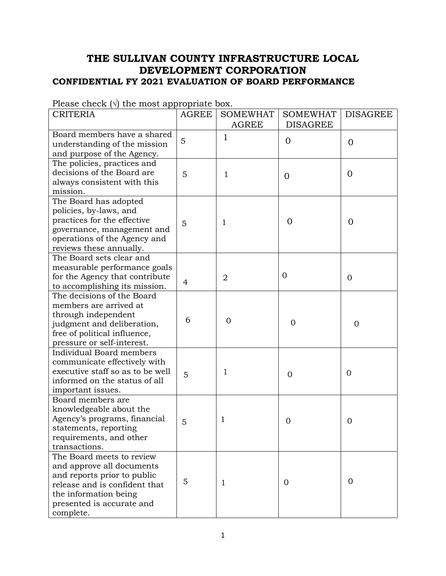## **THE SULLIVAN COUNTY INFRASTRUCTURE LOCAL DEVELOPMENT CORPORATION CONFIDENTIAL FY 2021 EVALUATION OF BOARD PERFORMANCE**

| <b>CRITERIA</b>                                              | <b>AGREE</b> | <b>SOMEWHAT</b> | <b>SOMEWHAT</b> | <b>DISAGREE</b> |
|--------------------------------------------------------------|--------------|-----------------|-----------------|-----------------|
|                                                              |              | <b>AGREE</b>    | <b>DISAGREE</b> |                 |
| Board members have a shared                                  | 5            | 1               | $\overline{0}$  |                 |
| understanding of the mission                                 |              |                 |                 | $\overline{0}$  |
| and purpose of the Agency.                                   |              |                 |                 |                 |
| The policies, practices and                                  |              |                 |                 |                 |
| decisions of the Board are                                   | 5            | 1               | $\Omega$        | $\overline{0}$  |
| always consistent with this                                  |              |                 |                 |                 |
| mission.                                                     |              |                 |                 |                 |
| The Board has adopted                                        |              |                 |                 |                 |
| policies, by-laws, and                                       |              |                 |                 |                 |
| practices for the effective                                  | 5            | 1               | $\overline{0}$  | $\overline{0}$  |
| governance, management and                                   |              |                 |                 |                 |
| operations of the Agency and                                 |              |                 |                 |                 |
| reviews these annually.                                      |              |                 |                 |                 |
| The Board sets clear and                                     |              |                 |                 |                 |
| measurable performance goals                                 |              |                 |                 |                 |
| for the Agency that contribute                               |              | $\overline{2}$  | $\overline{0}$  | $\overline{0}$  |
| to accomplishing its mission.                                | 4            |                 |                 |                 |
| The decisions of the Board                                   |              |                 |                 |                 |
| members are arrived at                                       |              |                 |                 |                 |
| through independent                                          |              |                 |                 |                 |
| judgment and deliberation,                                   | 6            | $\overline{0}$  | $\mathbf 0$     | $\overline{0}$  |
| free of political influence,                                 |              |                 |                 |                 |
| pressure or self-interest.                                   |              |                 |                 |                 |
| Individual Board members                                     |              |                 |                 |                 |
| communicate effectively with                                 |              |                 |                 |                 |
| executive staff so as to be well                             |              | 1               |                 | $\overline{0}$  |
| informed on the status of all                                | 5            |                 | $\Omega$        |                 |
| important issues.                                            |              |                 |                 |                 |
| Board members are                                            |              |                 |                 |                 |
| knowledgeable about the                                      |              |                 |                 |                 |
| Agency's programs, financial                                 |              |                 |                 |                 |
| statements, reporting                                        | 5            | 1               | 0               | 0               |
| requirements, and other                                      |              |                 |                 |                 |
| transactions.                                                |              |                 |                 |                 |
| The Board meets to review                                    |              |                 |                 |                 |
| and approve all documents                                    |              |                 |                 |                 |
|                                                              |              |                 |                 |                 |
| and reports prior to public<br>release and is confident that | 5            | 1               | $\Omega$        | $\mathbf{0}$    |
|                                                              |              |                 |                 |                 |
| the information being                                        |              |                 |                 |                 |
| presented is accurate and                                    |              |                 |                 |                 |
| complete.                                                    |              |                 |                 |                 |

Please check  $(\sqrt{a})$  the most appropriate box.